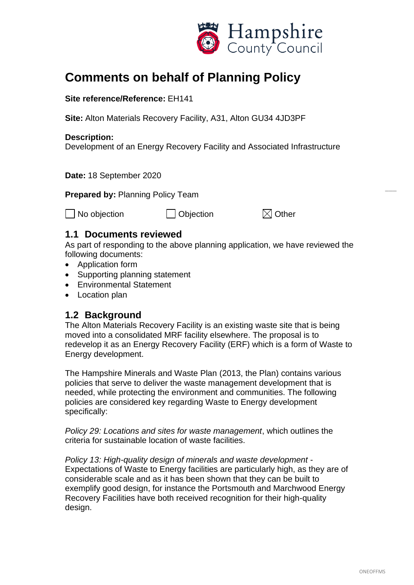

# **Comments on behalf of Planning Policy**

#### **Site reference/Reference:** EH141

**Site:** Alton Materials Recovery Facility, A31, Alton GU34 4JD3PF

#### **Description:**

Development of an Energy Recovery Facility and Associated Infrastructure

**Date:** 18 September 2020

**Prepared by:** Planning Policy Team

 $\Box$  No objection  $\Box$  Objection  $\boxtimes$  Other

### **1.1 Documents reviewed**

As part of responding to the above planning application, we have reviewed the following documents:

- Application form
- Supporting planning statement
- Environmental Statement
- Location plan

### **1.2 Background**

The Alton Materials Recovery Facility is an existing waste site that is being moved into a consolidated MRF facility elsewhere. The proposal is to redevelop it as an Energy Recovery Facility (ERF) which is a form of Waste to Energy development.

The Hampshire Minerals and Waste Plan (2013, the Plan) contains various policies that serve to deliver the waste management development that is needed, while protecting the environment and communities. The following policies are considered key regarding Waste to Energy development specifically:

*Policy 29: Locations and sites for waste management*, which outlines the criteria for sustainable location of waste facilities.

*Policy 13: High-quality design of minerals and waste development* - Expectations of Waste to Energy facilities are particularly high, as they are of considerable scale and as it has been shown that they can be built to exemplify good design, for instance the Portsmouth and Marchwood Energy Recovery Facilities have both received recognition for their high-quality design.

 $\overline{\phantom{a}}$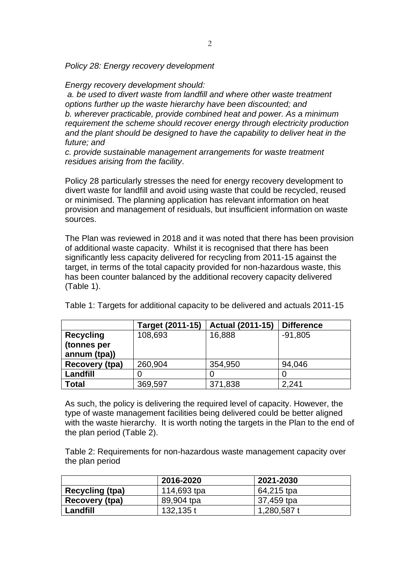*Policy 28: Energy recovery development* 

*Energy recovery development should:*

*a. be used to divert waste from landfill and where other waste treatment options further up the waste hierarchy have been discounted; and b. wherever practicable, provide combined heat and power. As a minimum requirement the scheme should recover energy through electricity production and the plant should be designed to have the capability to deliver heat in the future; and* 

*c. provide sustainable management arrangements for waste treatment residues arising from the facility*.

Policy 28 particularly stresses the need for energy recovery development to divert waste for landfill and avoid using waste that could be recycled, reused or minimised. The planning application has relevant information on heat provision and management of residuals, but insufficient information on waste sources.

The Plan was reviewed in 2018 and it was noted that there has been provision of additional waste capacity. Whilst it is recognised that there has been significantly less capacity delivered for recycling from 2011-15 against the target, in terms of the total capacity provided for non-hazardous waste, this has been counter balanced by the additional recovery capacity delivered (Table 1).

|                  | Target (2011-15) | <b>Actual (2011-15)</b> | <b>Difference</b> |
|------------------|------------------|-------------------------|-------------------|
| <b>Recycling</b> | 108,693          | 16,888                  | $-91,805$         |
| (tonnes per      |                  |                         |                   |
| annum (tpa))     |                  |                         |                   |
| Recovery (tpa)   | 260,904          | 354,950                 | 94,046            |
| Landfill         |                  |                         |                   |
| <b>Total</b>     | 369,597          | 371,838                 | 2,241             |

Table 1: Targets for additional capacity to be delivered and actuals 2011-15

As such, the policy is delivering the required level of capacity. However, the type of waste management facilities being delivered could be better aligned with the waste hierarchy. It is worth noting the targets in the Plan to the end of the plan period (Table 2).

Table 2: Requirements for non-hazardous waste management capacity over the plan period

|                        | 2016-2020   | 2021-2030   |
|------------------------|-------------|-------------|
| <b>Recycling (tpa)</b> | 114,693 tpa | 64,215 tpa  |
| Recovery (tpa)         | 89,904 tpa  | 37,459 tpa  |
| Landfill               | 132,135 t   | 1,280,587 t |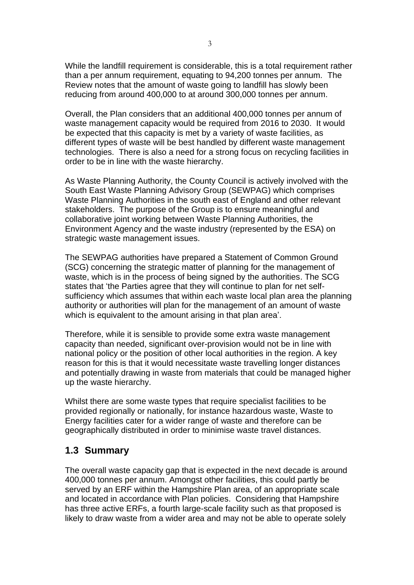While the landfill requirement is considerable, this is a total requirement rather than a per annum requirement, equating to 94,200 tonnes per annum. The Review notes that the amount of waste going to landfill has slowly been reducing from around 400,000 to at around 300,000 tonnes per annum.

Overall, the Plan considers that an additional 400,000 tonnes per annum of waste management capacity would be required from 2016 to 2030. It would be expected that this capacity is met by a variety of waste facilities, as different types of waste will be best handled by different waste management technologies. There is also a need for a strong focus on recycling facilities in order to be in line with the waste hierarchy.

As Waste Planning Authority, the County Council is actively involved with the South East Waste Planning Advisory Group (SEWPAG) which comprises Waste Planning Authorities in the south east of England and other relevant stakeholders. The purpose of the Group is to ensure meaningful and collaborative joint working between Waste Planning Authorities, the Environment Agency and the waste industry (represented by the ESA) on strategic waste management issues.

The SEWPAG authorities have prepared a Statement of Common Ground (SCG) concerning the strategic matter of planning for the management of waste, which is in the process of being signed by the authorities. The SCG states that 'the Parties agree that they will continue to plan for net selfsufficiency which assumes that within each waste local plan area the planning authority or authorities will plan for the management of an amount of waste which is equivalent to the amount arising in that plan area'.

Therefore, while it is sensible to provide some extra waste management capacity than needed, significant over-provision would not be in line with national policy or the position of other local authorities in the region. A key reason for this is that it would necessitate waste travelling longer distances and potentially drawing in waste from materials that could be managed higher up the waste hierarchy.

Whilst there are some waste types that require specialist facilities to be provided regionally or nationally, for instance hazardous waste, Waste to Energy facilities cater for a wider range of waste and therefore can be geographically distributed in order to minimise waste travel distances.

## **1.3 Summary**

The overall waste capacity gap that is expected in the next decade is around 400,000 tonnes per annum. Amongst other facilities, this could partly be served by an ERF within the Hampshire Plan area, of an appropriate scale and located in accordance with Plan policies. Considering that Hampshire has three active ERFs, a fourth large-scale facility such as that proposed is likely to draw waste from a wider area and may not be able to operate solely